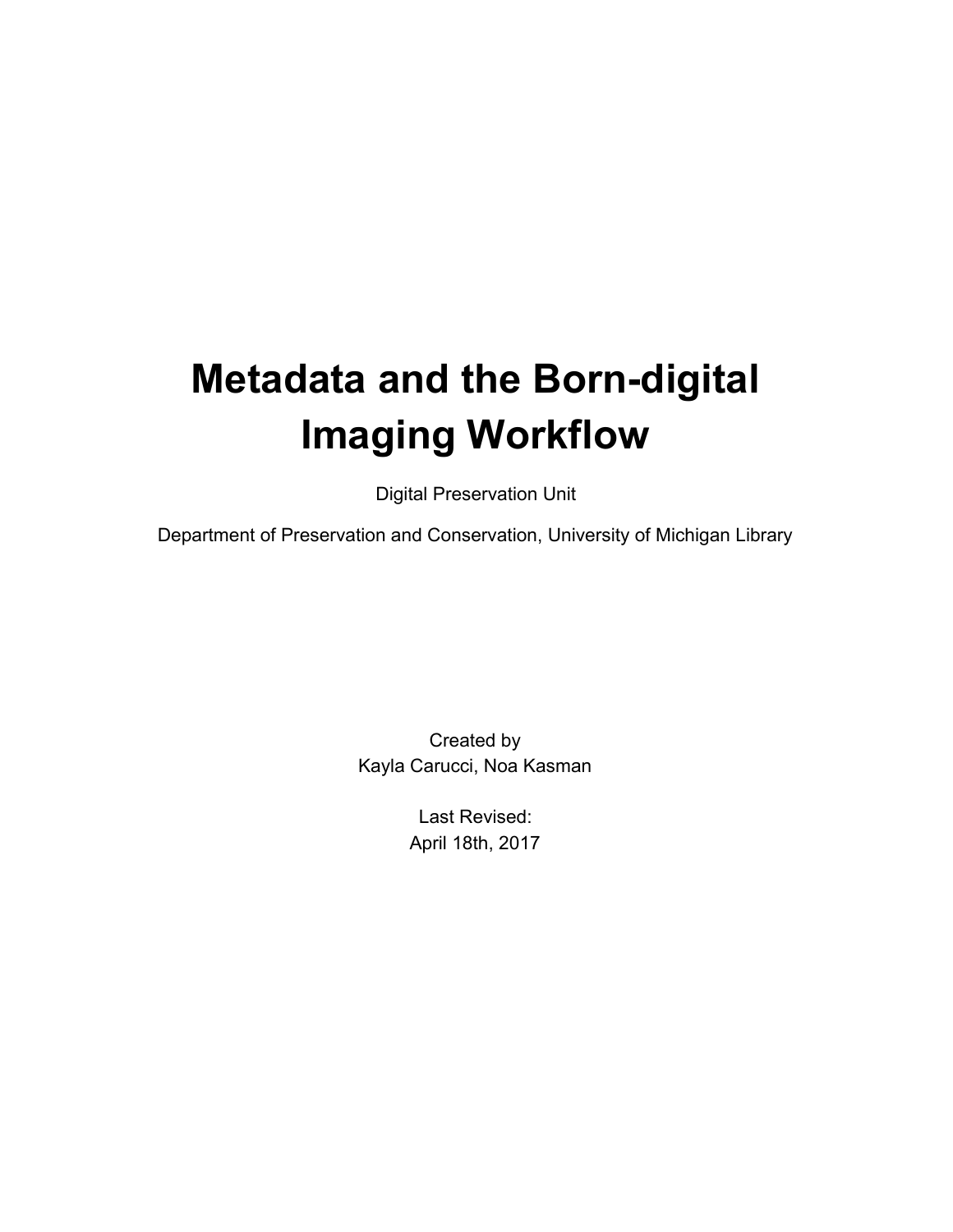# **Metadata and the Born-digital Imaging Workflow**

Digital Preservation Unit

Department of Preservation and Conservation, University of Michigan Library

Created by Kayla Carucci, Noa Kasman

> Last Revised: April 18th, 2017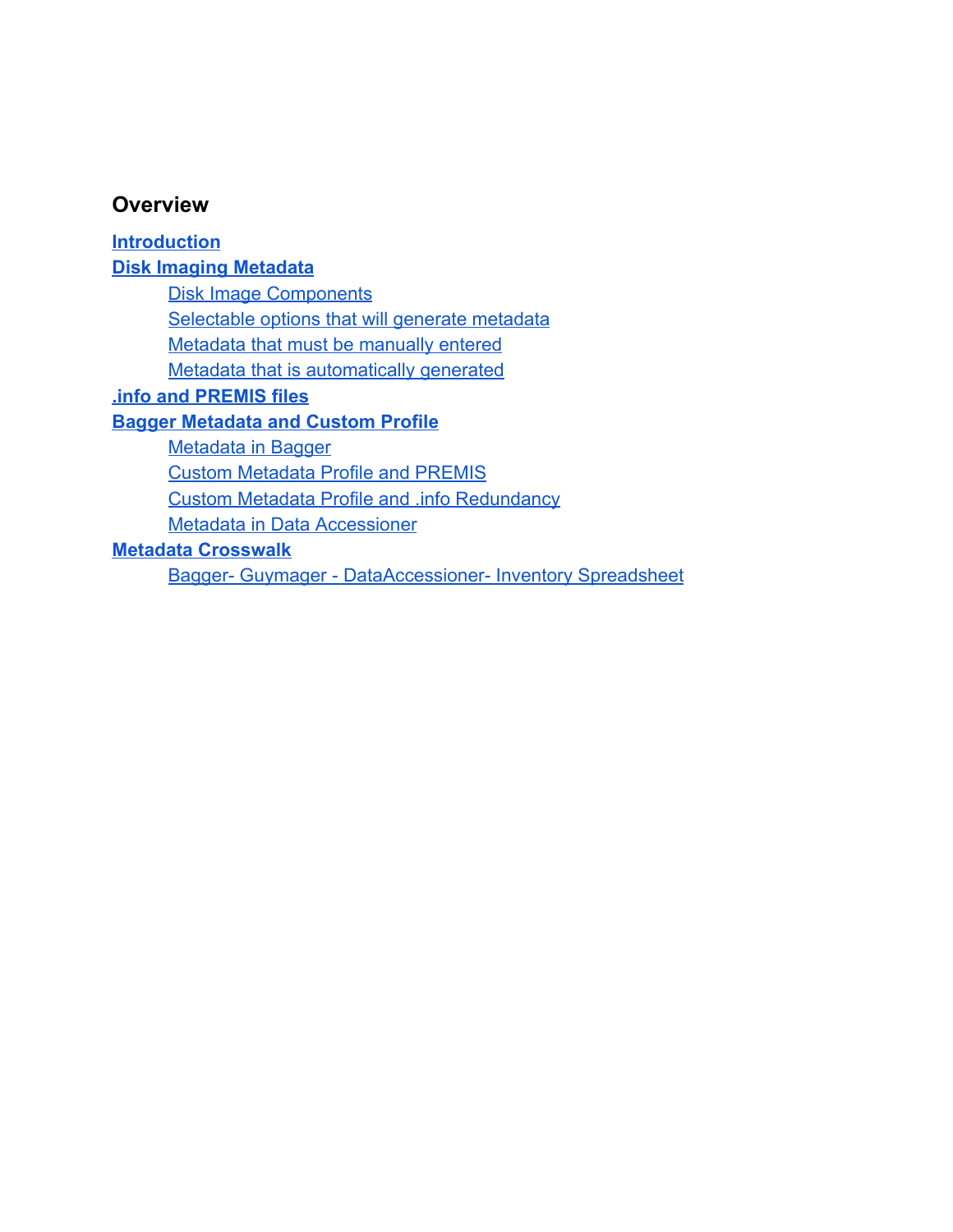#### **Overview**

**[Introduction](#page-2-0) [Disk Imaging Metadata](#page-2-1)** [Disk Image Components](#page-2-2) [Selectable options that will generate metadata](#page-3-0) [Metadata that must be manually entered](#page-4-0) [Metadata that is automatically generated](#page-5-0) **[.info and PREMIS files](#page-6-0) [Bagger Metadata and Custom Profile](#page-6-1)** [Metadata in Bagger](#page-6-2) [Custom Metadata Profile and PREMIS](#page-13-0) [Custom Metadata Profile and .info Redundancy](#page-14-0) [Metadata in Data Accessioner](#page-15-0) **[Metadata Crosswalk](#page-15-1)**

[Bagger- Guymager - DataAccessioner- Inventory Spreadsheet](#page-15-2)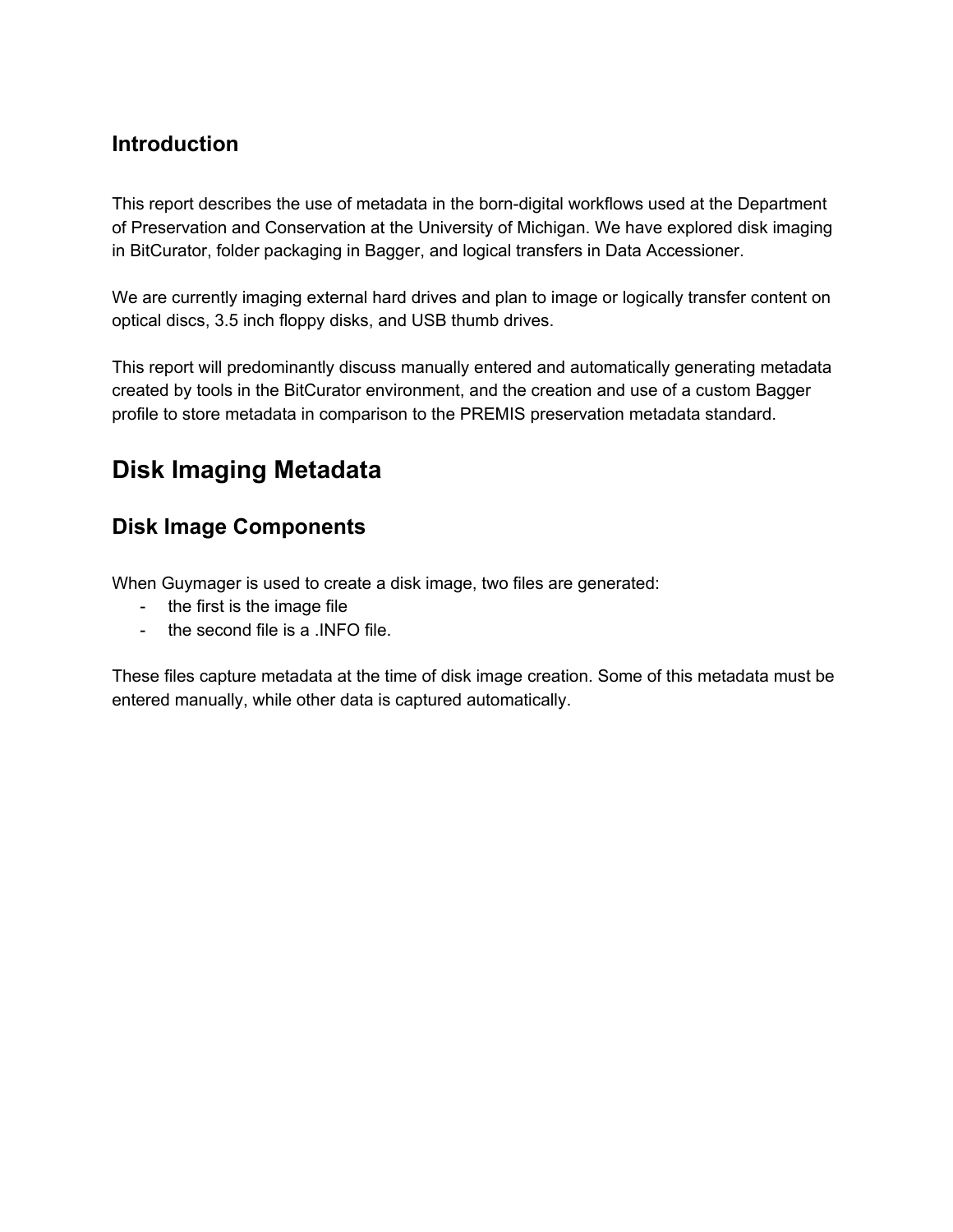### <span id="page-2-0"></span>**Introduction**

This report describes the use of metadata in the born-digital workflows used at the Department of Preservation and Conservation at the University of Michigan. We have explored disk imaging in BitCurator, folder packaging in Bagger, and logical transfers in Data Accessioner.

We are currently imaging external hard drives and plan to image or logically transfer content on optical discs, 3.5 inch floppy disks, and USB thumb drives.

This report will predominantly discuss manually entered and automatically generating metadata created by tools in the BitCurator environment, and the creation and use of a custom Bagger profile to store metadata in comparison to the PREMIS preservation metadata standard.

# <span id="page-2-1"></span>**Disk Imaging Metadata**

## <span id="page-2-2"></span>**Disk Image Components**

When Guymager is used to create a disk image, two files are generated:

- the first is the image file
- the second file is a .INFO file.

These files capture metadata at the time of disk image creation. Some of this metadata must be entered manually, while other data is captured automatically.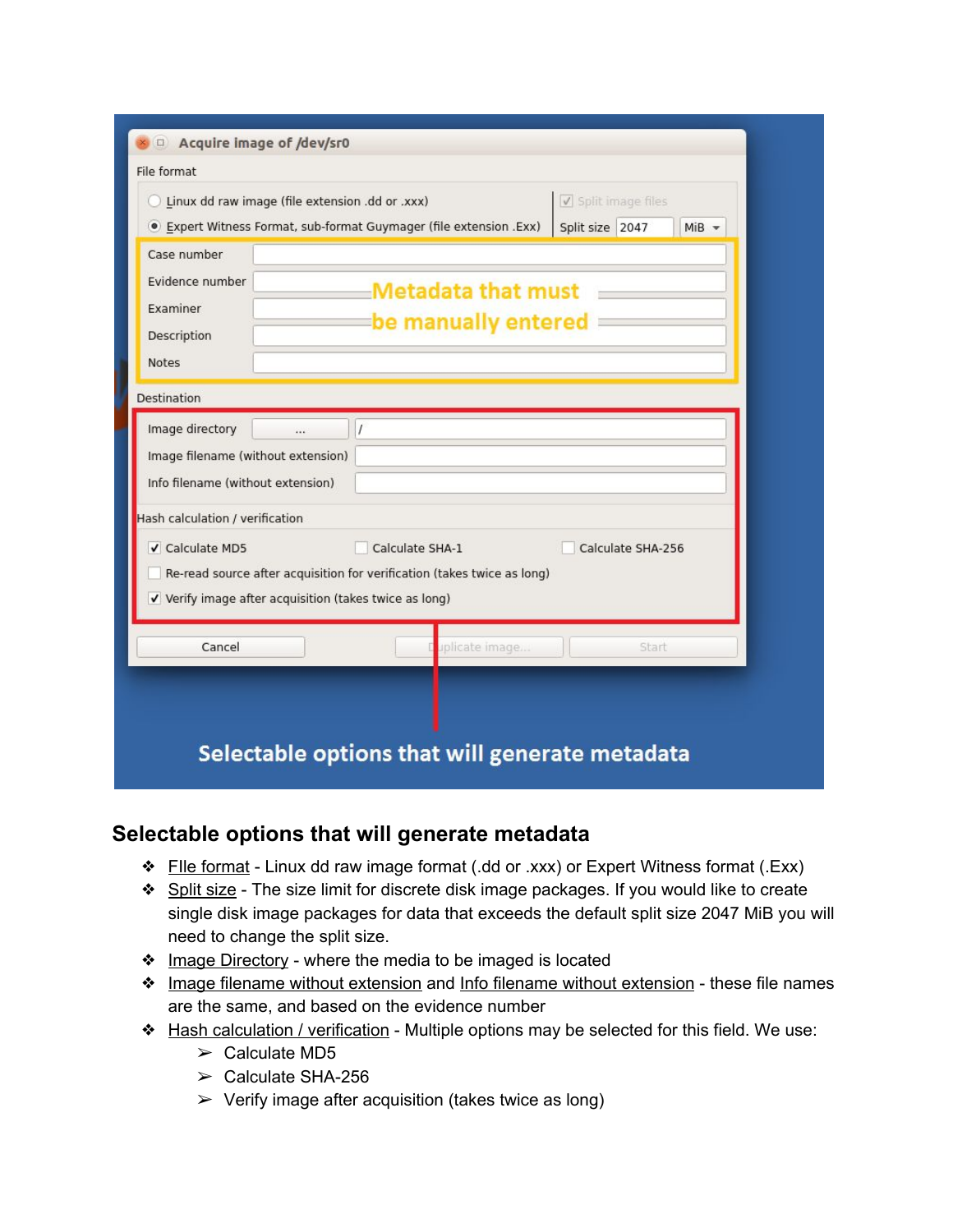| Acquire image of /dev/sr0<br>File format<br>Linux dd raw image (file extension .dd or .xxx)<br>· Expert Witness Format, sub-format Guymager (file extension .Exx)                                          |              |                 |                                                                         | $\sqrt{}$ Split image files<br>Split size 2047 | $MiB =$           |
|------------------------------------------------------------------------------------------------------------------------------------------------------------------------------------------------------------|--------------|-----------------|-------------------------------------------------------------------------|------------------------------------------------|-------------------|
| Case number<br>Evidence number<br>Examiner<br>Description<br>Notes                                                                                                                                         |              |                 | <b>Metadata that must</b><br>be manually entered                        |                                                |                   |
| <b>Destination</b>                                                                                                                                                                                         |              |                 |                                                                         |                                                |                   |
| Image directory<br>Image filename (without extension)<br>Info filename (without extension)<br>Hash calculation / verification<br>✔ Calculate MD5<br>V Verify image after acquisition (takes twice as long) | $\mathbf{r}$ | Calculate SHA-1 | Re-read source after acquisition for verification (takes twice as long) |                                                | Calculate SHA-256 |
| Cancel                                                                                                                                                                                                     |              |                 | uplicate image                                                          |                                                | Start             |
|                                                                                                                                                                                                            |              |                 | Selectable options that will generate metadata                          |                                                |                   |

#### <span id="page-3-0"></span>**Selectable options that will generate metadata**

- ❖ FIle format Linux dd raw image format (.dd or .xxx) or Expert Witness format (.Exx)
- **❖** Split size The size limit for discrete disk image packages. If you would like to create single disk image packages for data that exceeds the default split size 2047 MiB you will need to change the split size.
- **❖** Image Directory where the media to be imaged is located
- ❖ Image filename without extension and Info filename without extension these file names are the same, and based on the evidence number
- ❖ Hash calculation / verification Multiple options may be selected for this field. We use:
	- $\ge$  Calculate MD5
	- $\geq$  Calculate SHA-256
	- $\triangleright$  Verify image after acquisition (takes twice as long)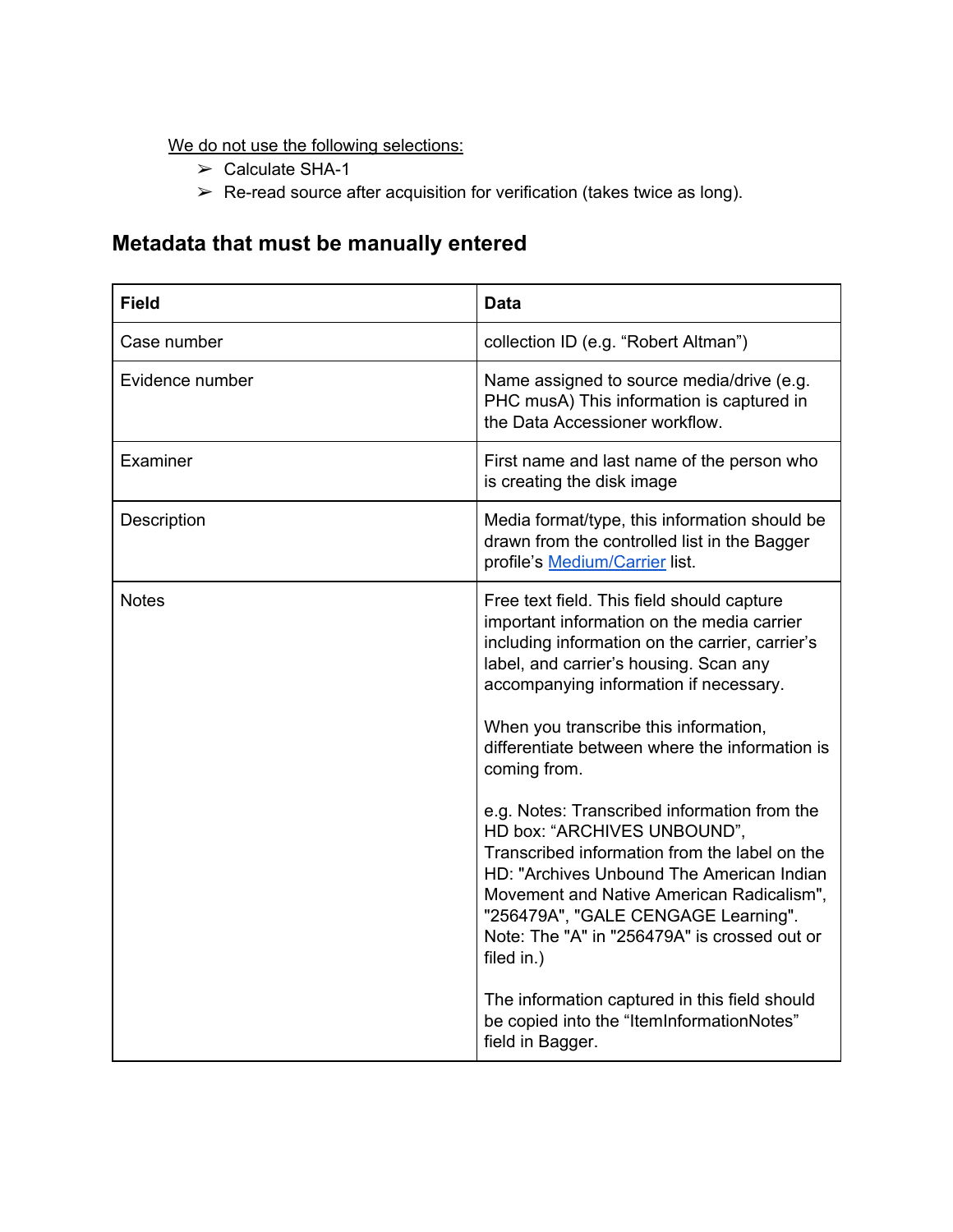We do not use the following selections:

- $\ge$  Calculate SHA-1
- $\triangleright$  Re-read source after acquisition for verification (takes twice as long).

## <span id="page-4-0"></span>**Metadata that must be manually entered**

| <b>Field</b>    | <b>Data</b>                                                                                                                                                                                                                                                                                                                                                                                                                                                                                                                                                                                                                                                                                                                                                                                 |
|-----------------|---------------------------------------------------------------------------------------------------------------------------------------------------------------------------------------------------------------------------------------------------------------------------------------------------------------------------------------------------------------------------------------------------------------------------------------------------------------------------------------------------------------------------------------------------------------------------------------------------------------------------------------------------------------------------------------------------------------------------------------------------------------------------------------------|
| Case number     | collection ID (e.g. "Robert Altman")                                                                                                                                                                                                                                                                                                                                                                                                                                                                                                                                                                                                                                                                                                                                                        |
| Evidence number | Name assigned to source media/drive (e.g.<br>PHC musA) This information is captured in<br>the Data Accessioner workflow.                                                                                                                                                                                                                                                                                                                                                                                                                                                                                                                                                                                                                                                                    |
| Examiner        | First name and last name of the person who<br>is creating the disk image                                                                                                                                                                                                                                                                                                                                                                                                                                                                                                                                                                                                                                                                                                                    |
| Description     | Media format/type, this information should be<br>drawn from the controlled list in the Bagger<br>profile's Medium/Carrier list.                                                                                                                                                                                                                                                                                                                                                                                                                                                                                                                                                                                                                                                             |
| <b>Notes</b>    | Free text field. This field should capture<br>important information on the media carrier<br>including information on the carrier, carrier's<br>label, and carrier's housing. Scan any<br>accompanying information if necessary.<br>When you transcribe this information,<br>differentiate between where the information is<br>coming from.<br>e.g. Notes: Transcribed information from the<br>HD box: "ARCHIVES UNBOUND",<br>Transcribed information from the label on the<br>HD: "Archives Unbound The American Indian<br>Movement and Native American Radicalism",<br>"256479A", "GALE CENGAGE Learning".<br>Note: The "A" in "256479A" is crossed out or<br>filed in.)<br>The information captured in this field should<br>be copied into the "ItemInformationNotes"<br>field in Bagger. |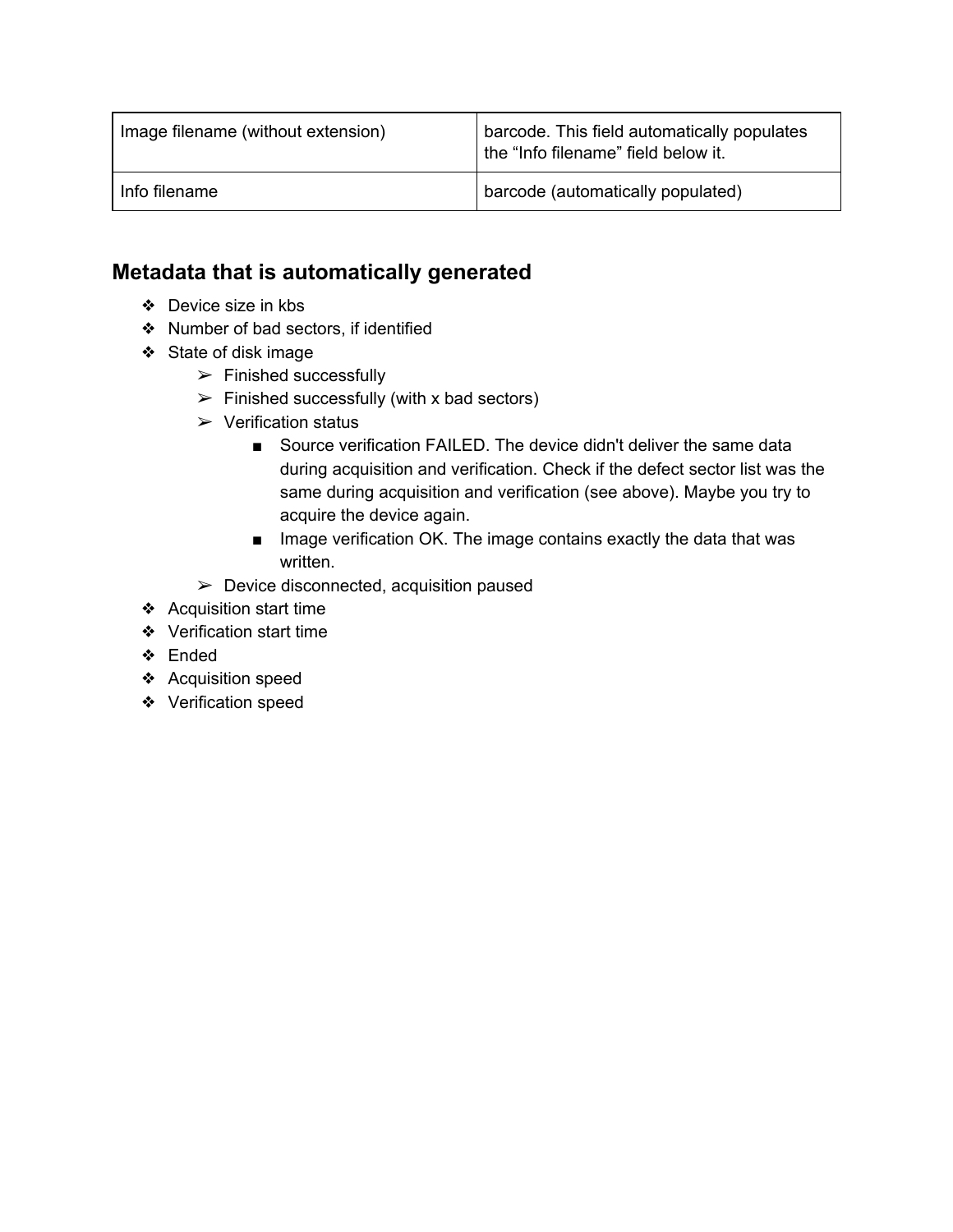| Image filename (without extension) | barcode. This field automatically populates<br>the "Info filename" field below it. |
|------------------------------------|------------------------------------------------------------------------------------|
| Info filename                      | barcode (automatically populated)                                                  |

### <span id="page-5-0"></span>**Metadata that is automatically generated**

- ❖ Device size in kbs
- ❖ Number of bad sectors, if identified
- ❖ State of disk image
	- $\triangleright$  Finished successfully
	- $\triangleright$  Finished successfully (with x bad sectors)
	- $\triangleright$  Verification status
		- Source verification FAILED. The device didn't deliver the same data during acquisition and verification. Check if the defect sector list was the same during acquisition and verification (see above). Maybe you try to acquire the device again.
		- Image verification OK. The image contains exactly the data that was written.
	- $\triangleright$  Device disconnected, acquisition paused
- ❖ Acquisition start time
- ❖ Verification start time
- ❖ Ended
- ❖ Acquisition speed
- ❖ Verification speed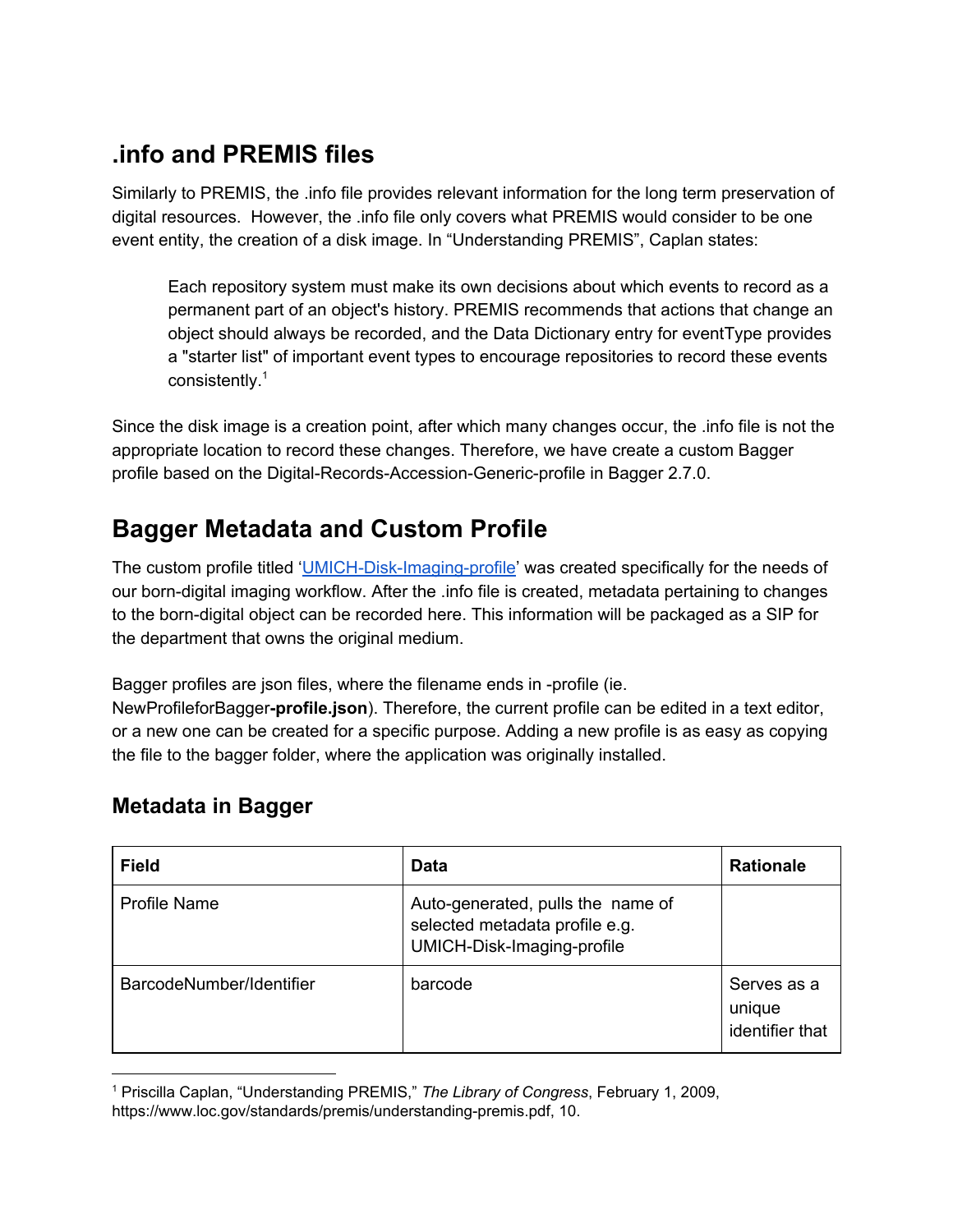# <span id="page-6-0"></span>**.info and PREMIS files**

Similarly to PREMIS, the .info file provides relevant information for the long term preservation of digital resources. However, the .info file only covers what PREMIS would consider to be one event entity, the creation of a disk image. In "Understanding PREMIS", Caplan states:

Each repository system must make its own decisions about which events to record as a permanent part of an object's history. PREMIS recommends that actions that change an object should always be recorded, and the Data Dictionary entry for eventType provides a "starter list" of important event types to encourage repositories to record these events consistently. 1

Since the disk image is a creation point, after which many changes occur, the .info file is not the appropriate location to record these changes. Therefore, we have create a custom Bagger profile based on the Digital-Records-Accession-Generic-profile in Bagger 2.7.0.

# <span id="page-6-1"></span>**Bagger Metadata and Custom Profile**

The custom profile titled ['UMICH-Disk-Imaging-profile'](http://www.jsoneditoronline.org/?id=da3ea612c98e0c951ec8bdb542a24557) was created specifically for the needs of our born-digital imaging workflow. After the .info file is created, metadata pertaining to changes to the born-digital object can be recorded here. This information will be packaged as a SIP for the department that owns the original medium.

Bagger profiles are json files, where the filename ends in -profile (ie.

NewProfileforBagger**-profile.json**). Therefore, the current profile can be edited in a text editor, or a new one can be created for a specific purpose. Adding a new profile is as easy as copying the file to the bagger folder, where the application was originally installed.

### <span id="page-6-2"></span>**Metadata in Bagger**

| <b>Field</b>             | <b>Data</b>                                                                                       | <b>Rationale</b>                         |
|--------------------------|---------------------------------------------------------------------------------------------------|------------------------------------------|
| <b>Profile Name</b>      | Auto-generated, pulls the name of<br>selected metadata profile e.g.<br>UMICH-Disk-Imaging-profile |                                          |
| BarcodeNumber/Identifier | barcode                                                                                           | Serves as a<br>unique<br>identifier that |

<sup>1</sup> Priscilla Caplan, "Understanding PREMIS," *The Library of Congress*, February 1, 2009, https://www.loc.gov/standards/premis/understanding-premis.pdf, 10.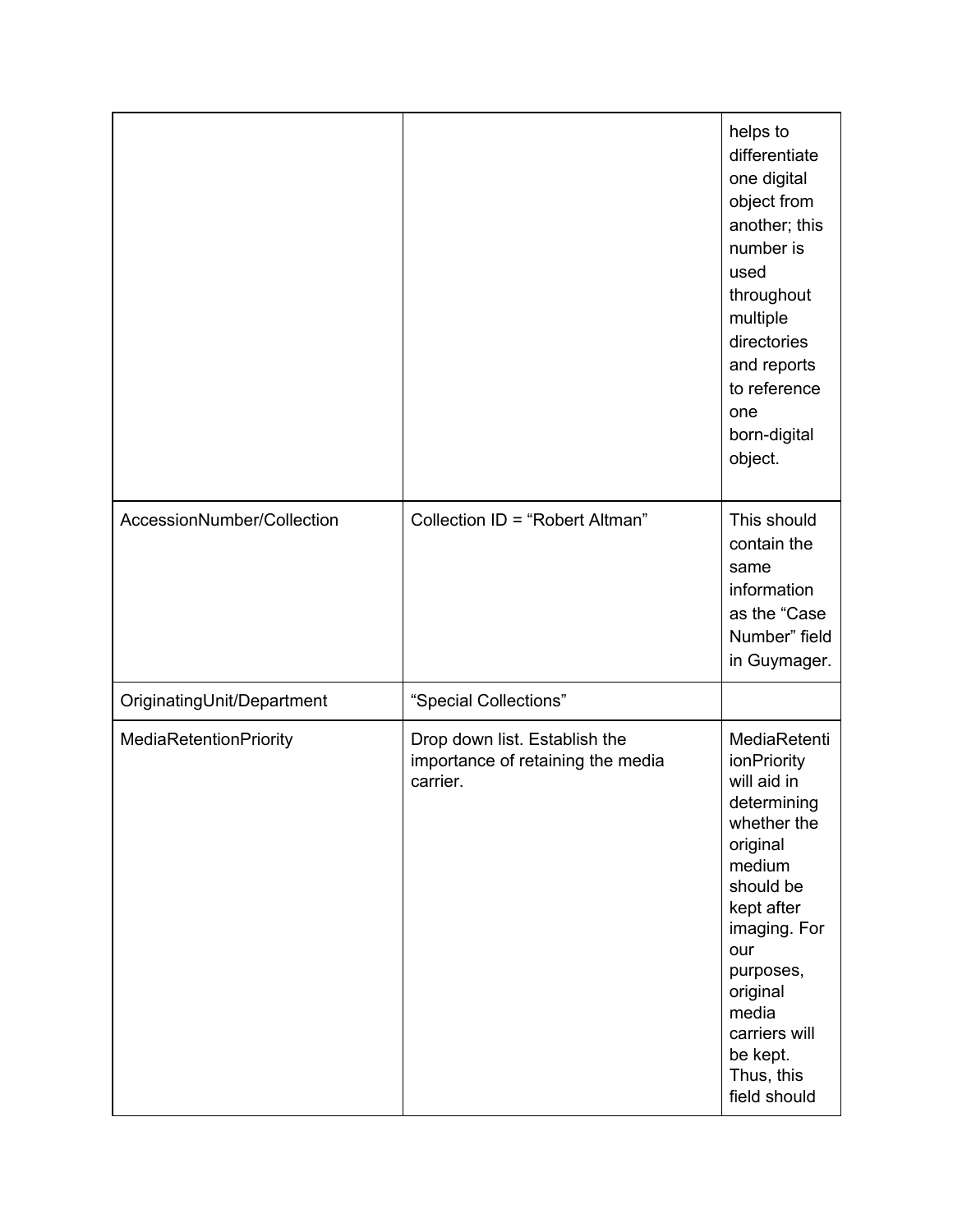|                            |                                                                                | helps to<br>differentiate<br>one digital<br>object from<br>another; this<br>number is<br>used<br>throughout<br>multiple<br>directories<br>and reports<br>to reference<br>one<br>born-digital<br>object.                                       |
|----------------------------|--------------------------------------------------------------------------------|-----------------------------------------------------------------------------------------------------------------------------------------------------------------------------------------------------------------------------------------------|
| AccessionNumber/Collection | Collection ID = "Robert Altman"                                                | This should<br>contain the<br>same<br>information<br>as the "Case<br>Number" field<br>in Guymager.                                                                                                                                            |
| OriginatingUnit/Department | "Special Collections"                                                          |                                                                                                                                                                                                                                               |
| MediaRetentionPriority     | Drop down list. Establish the<br>importance of retaining the media<br>carrier. | MediaRetenti<br>ionPriority<br>will aid in<br>determining<br>whether the<br>original<br>medium<br>should be<br>kept after<br>imaging. For<br>our<br>purposes,<br>original<br>media<br>carriers will<br>be kept.<br>Thus, this<br>field should |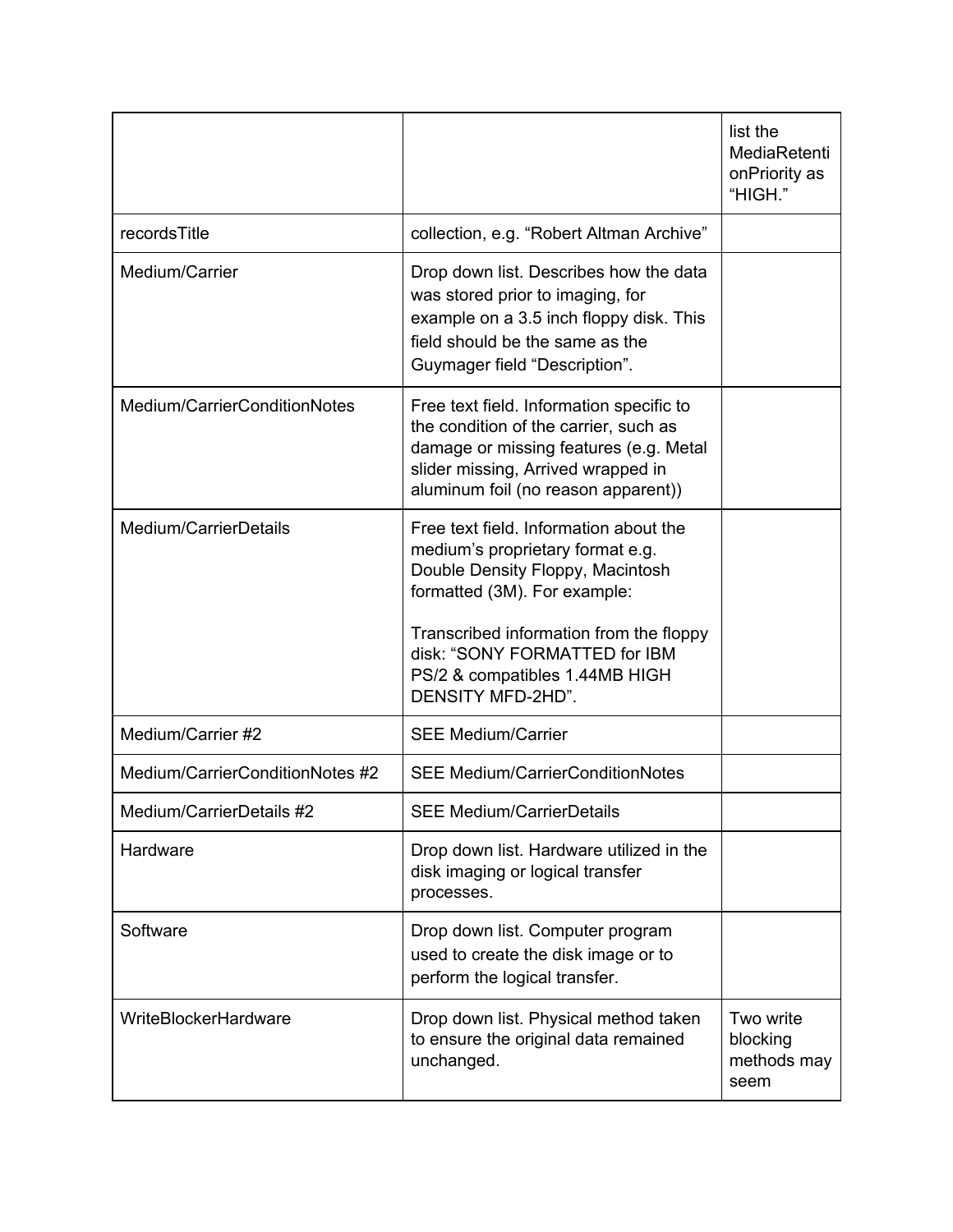|                                 |                                                                                                                                                                                                          | list the<br>MediaRetenti<br>onPriority as<br>"HIGH." |
|---------------------------------|----------------------------------------------------------------------------------------------------------------------------------------------------------------------------------------------------------|------------------------------------------------------|
| recordsTitle                    | collection, e.g. "Robert Altman Archive"                                                                                                                                                                 |                                                      |
| Medium/Carrier                  | Drop down list. Describes how the data<br>was stored prior to imaging, for<br>example on a 3.5 inch floppy disk. This<br>field should be the same as the<br>Guymager field "Description".                |                                                      |
| Medium/CarrierConditionNotes    | Free text field. Information specific to<br>the condition of the carrier, such as<br>damage or missing features (e.g. Metal<br>slider missing, Arrived wrapped in<br>aluminum foil (no reason apparent)) |                                                      |
| Medium/CarrierDetails           | Free text field. Information about the<br>medium's proprietary format e.g.<br>Double Density Floppy, Macintosh<br>formatted (3M). For example:                                                           |                                                      |
|                                 | Transcribed information from the floppy<br>disk: "SONY FORMATTED for IBM<br>PS/2 & compatibles 1.44MB HIGH<br>DENSITY MFD-2HD".                                                                          |                                                      |
| Medium/Carrier #2               | <b>SEE Medium/Carrier</b>                                                                                                                                                                                |                                                      |
| Medium/CarrierConditionNotes #2 | <b>SEE Medium/CarrierConditionNotes</b>                                                                                                                                                                  |                                                      |
| Medium/CarrierDetails #2        | <b>SEE Medium/CarrierDetails</b>                                                                                                                                                                         |                                                      |
| Hardware                        | Drop down list. Hardware utilized in the<br>disk imaging or logical transfer<br>processes.                                                                                                               |                                                      |
| Software                        | Drop down list. Computer program<br>used to create the disk image or to<br>perform the logical transfer.                                                                                                 |                                                      |
| WriteBlockerHardware            | Drop down list. Physical method taken<br>to ensure the original data remained<br>unchanged.                                                                                                              | Two write<br>blocking<br>methods may<br>seem         |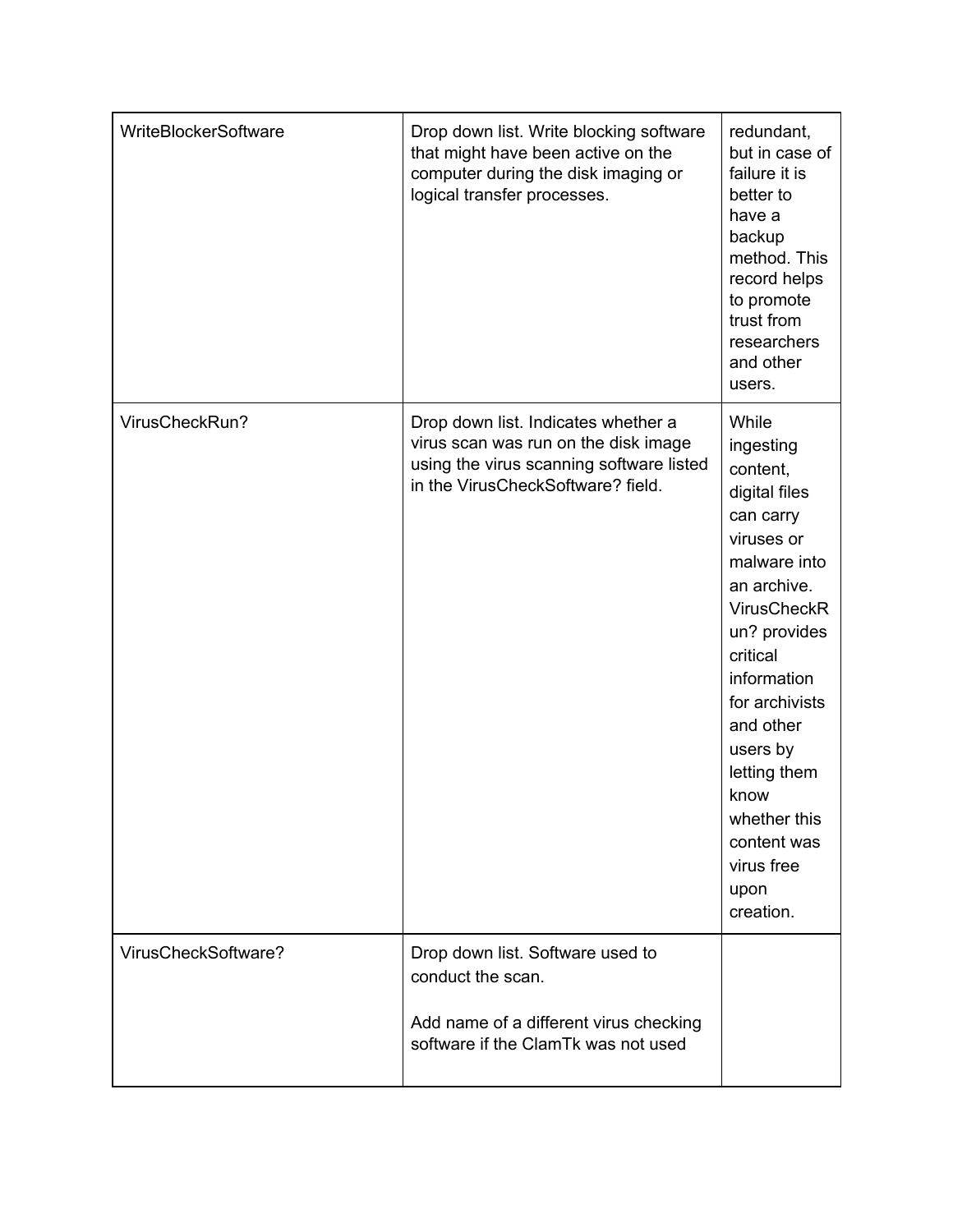| Drop down list. Write blocking software<br>that might have been active on the<br>computer during the disk imaging or<br>logical transfer processes.          | redundant,<br>but in case of<br>failure it is<br>better to<br>have a<br>backup<br>method. This<br>record helps<br>to promote<br>trust from<br>researchers<br>and other<br>users.                                                                                                                                |
|--------------------------------------------------------------------------------------------------------------------------------------------------------------|-----------------------------------------------------------------------------------------------------------------------------------------------------------------------------------------------------------------------------------------------------------------------------------------------------------------|
| Drop down list. Indicates whether a<br>virus scan was run on the disk image<br>using the virus scanning software listed<br>in the VirusCheckSoftware? field. | While<br>ingesting<br>content,<br>digital files<br>can carry<br>viruses or<br>malware into<br>an archive.<br><b>VirusCheckR</b><br>un? provides<br>critical<br>information<br>for archivists<br>and other<br>users by<br>letting them<br>know<br>whether this<br>content was<br>virus free<br>upon<br>creation. |
| Drop down list. Software used to<br>conduct the scan.<br>Add name of a different virus checking<br>software if the ClamTk was not used                       |                                                                                                                                                                                                                                                                                                                 |
|                                                                                                                                                              |                                                                                                                                                                                                                                                                                                                 |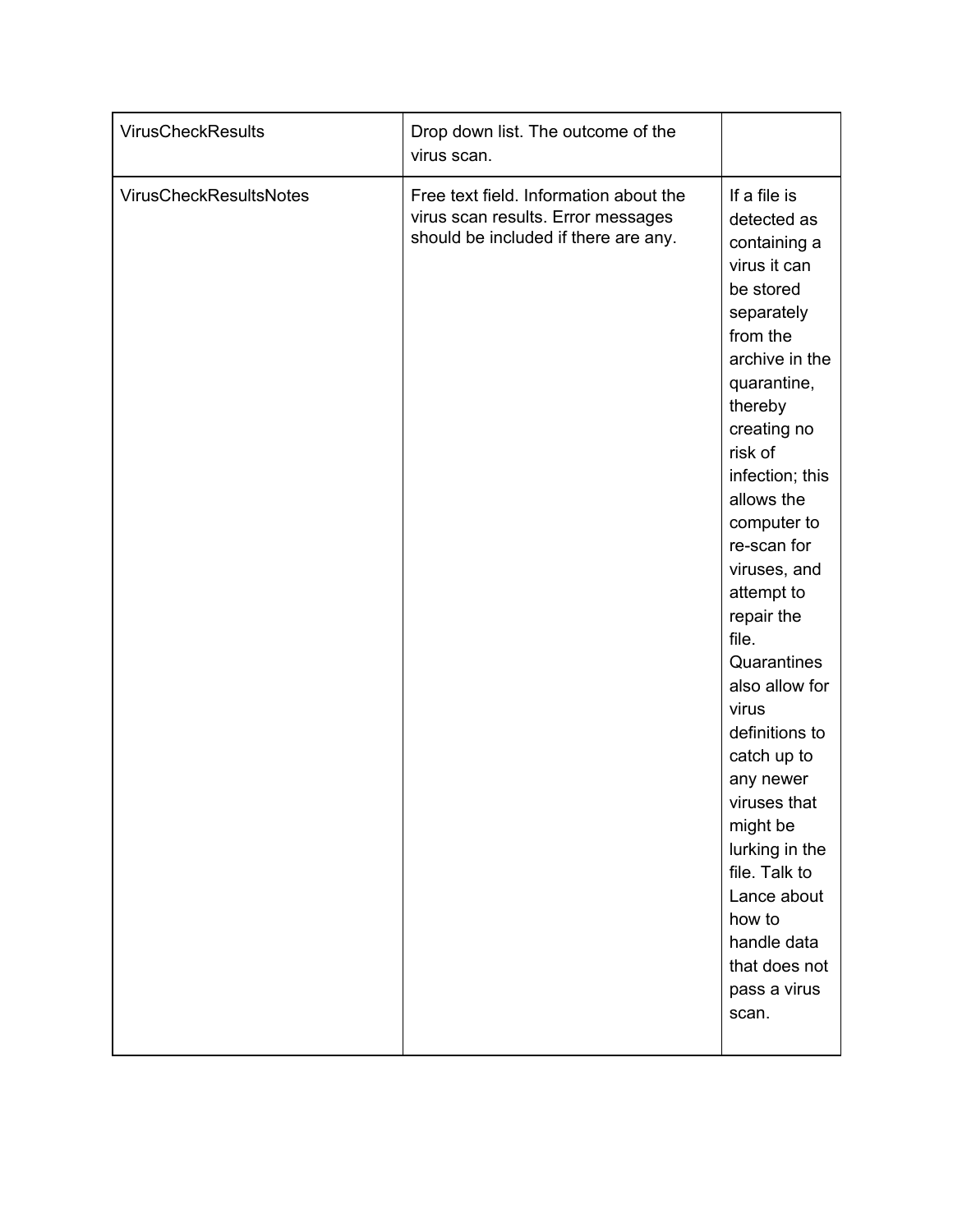| <b>VirusCheckResults</b>      | Drop down list. The outcome of the<br>virus scan.                                                                    |                                                                                                                                                                                                                                                                                                                                                                                                                                                                                                                                       |
|-------------------------------|----------------------------------------------------------------------------------------------------------------------|---------------------------------------------------------------------------------------------------------------------------------------------------------------------------------------------------------------------------------------------------------------------------------------------------------------------------------------------------------------------------------------------------------------------------------------------------------------------------------------------------------------------------------------|
| <b>VirusCheckResultsNotes</b> | Free text field. Information about the<br>virus scan results. Error messages<br>should be included if there are any. | If a file is<br>detected as<br>containing a<br>virus it can<br>be stored<br>separately<br>from the<br>archive in the<br>quarantine,<br>thereby<br>creating no<br>risk of<br>infection; this<br>allows the<br>computer to<br>re-scan for<br>viruses, and<br>attempt to<br>repair the<br>file.<br>Quarantines<br>also allow for<br>virus<br>definitions to<br>catch up to<br>any newer<br>viruses that<br>might be<br>lurking in the<br>file. Talk to<br>Lance about<br>how to<br>handle data<br>that does not<br>pass a virus<br>scan. |
|                               |                                                                                                                      |                                                                                                                                                                                                                                                                                                                                                                                                                                                                                                                                       |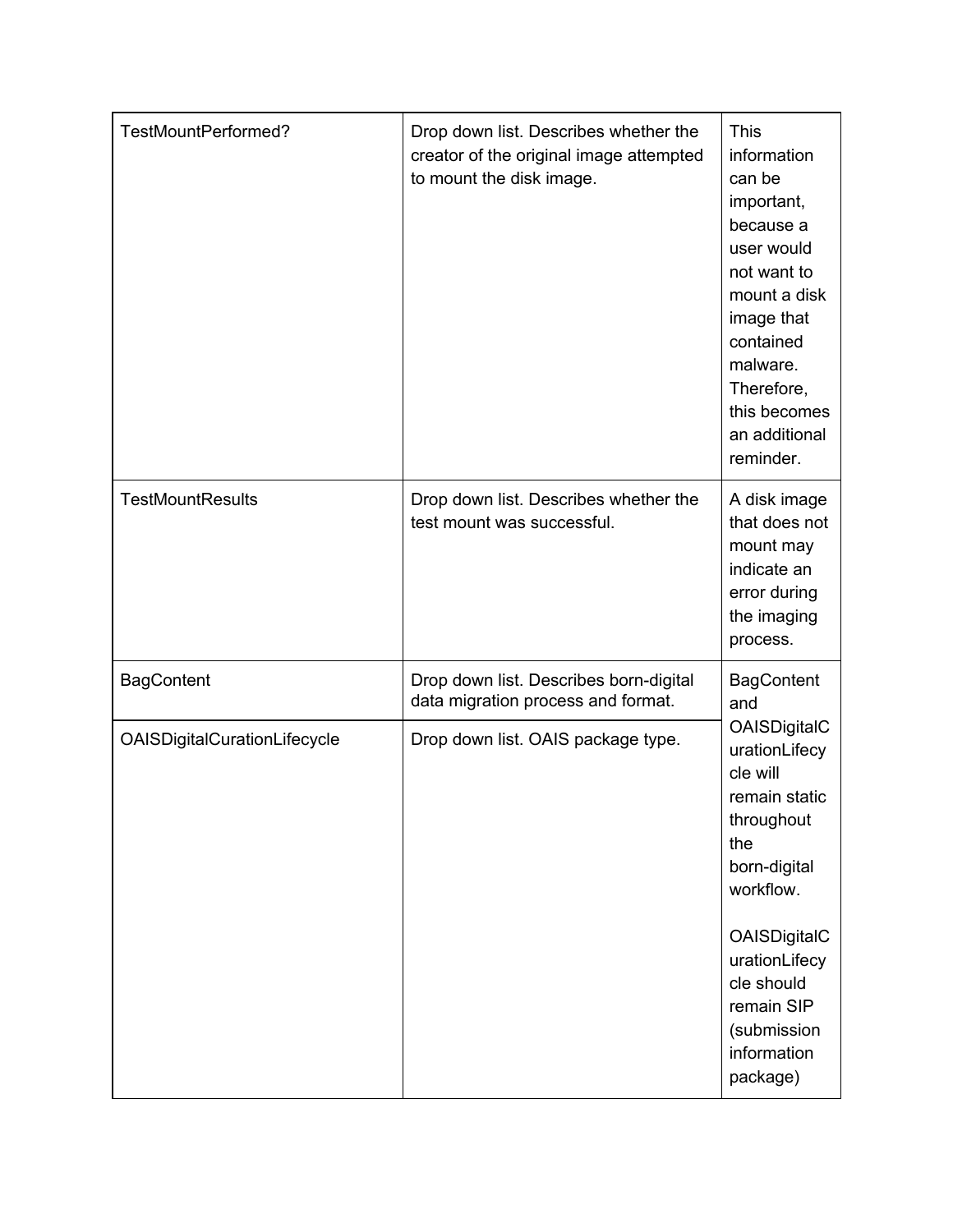| TestMountPerformed?          | Drop down list. Describes whether the<br>creator of the original image attempted<br>to mount the disk image. | <b>This</b><br>information<br>can be<br>important,<br>because a<br>user would<br>not want to<br>mount a disk<br>image that<br>contained<br>malware.<br>Therefore,<br>this becomes<br>an additional<br>reminder. |
|------------------------------|--------------------------------------------------------------------------------------------------------------|-----------------------------------------------------------------------------------------------------------------------------------------------------------------------------------------------------------------|
| <b>TestMountResults</b>      | Drop down list. Describes whether the<br>test mount was successful.                                          | A disk image<br>that does not<br>mount may<br>indicate an<br>error during<br>the imaging<br>process.                                                                                                            |
| <b>BagContent</b>            | Drop down list. Describes born-digital<br>data migration process and format.                                 | <b>BagContent</b><br>and                                                                                                                                                                                        |
| OAISDigitalCurationLifecycle | Drop down list. OAIS package type.                                                                           | OAISDigitalC<br>urationLifecy<br>cle will<br>remain static<br>throughout<br>the<br>born-digital<br>workflow.                                                                                                    |
|                              |                                                                                                              | OAISDigitalC<br>urationLifecy<br>cle should<br>remain SIP<br>(submission<br>information<br>package)                                                                                                             |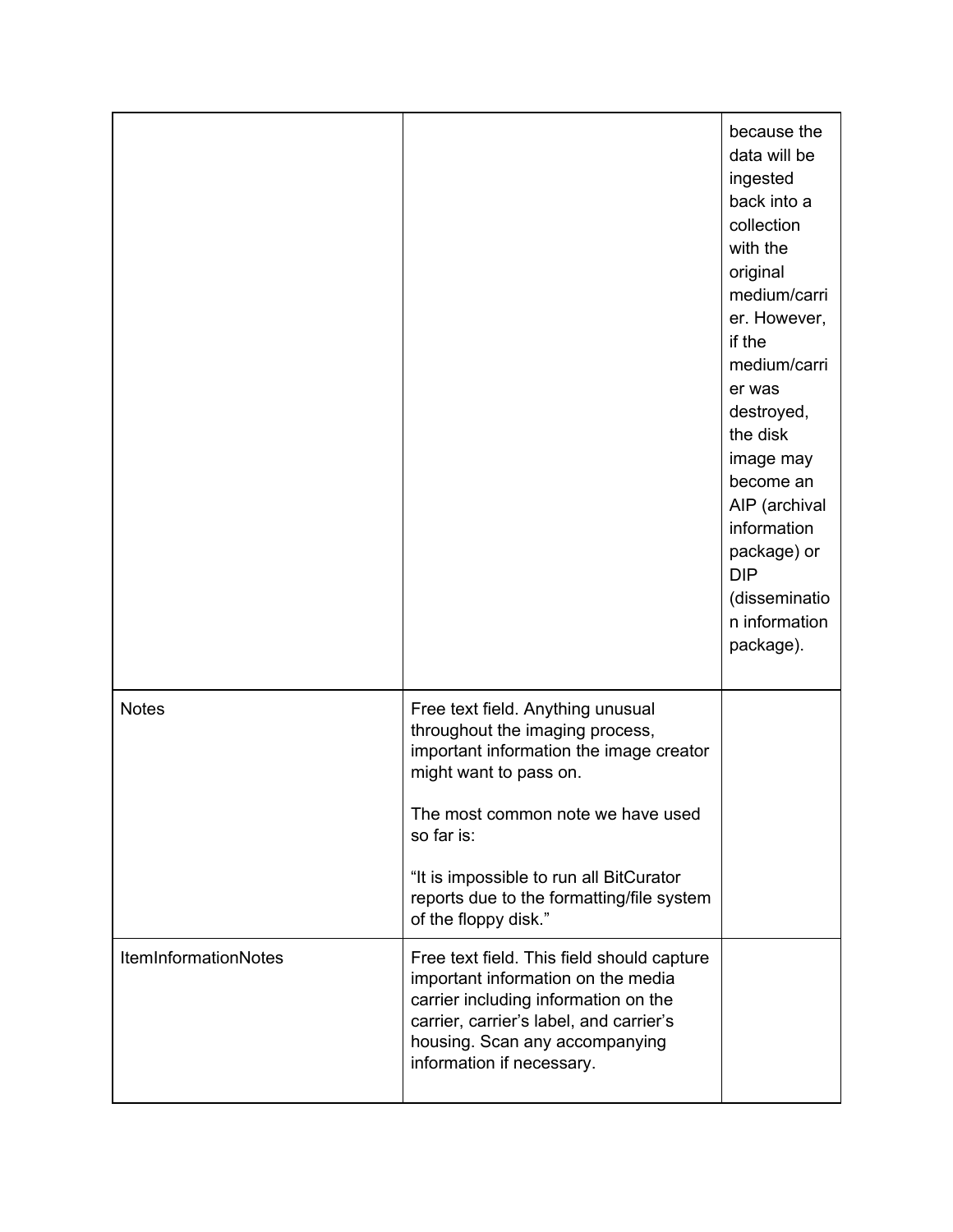|                      |                                                                                                                                                                                                                                         | because the<br>data will be<br>ingested<br>back into a<br>collection<br>with the<br>original<br>medium/carri<br>er. However,<br>if the<br>medium/carri<br>er was<br>destroyed,<br>the disk<br>image may<br>become an<br>AIP (archival<br>information<br>package) or<br><b>DIP</b><br>(disseminatio<br>n information<br>package). |
|----------------------|-----------------------------------------------------------------------------------------------------------------------------------------------------------------------------------------------------------------------------------------|----------------------------------------------------------------------------------------------------------------------------------------------------------------------------------------------------------------------------------------------------------------------------------------------------------------------------------|
| <b>Notes</b>         | Free text field. Anything unusual<br>throughout the imaging process,<br>important information the image creator<br>might want to pass on.<br>The most common note we have used<br>so far is:<br>"It is impossible to run all BitCurator |                                                                                                                                                                                                                                                                                                                                  |
|                      | reports due to the formatting/file system<br>of the floppy disk."                                                                                                                                                                       |                                                                                                                                                                                                                                                                                                                                  |
| ItemInformationNotes | Free text field. This field should capture<br>important information on the media<br>carrier including information on the<br>carrier, carrier's label, and carrier's<br>housing. Scan any accompanying<br>information if necessary.      |                                                                                                                                                                                                                                                                                                                                  |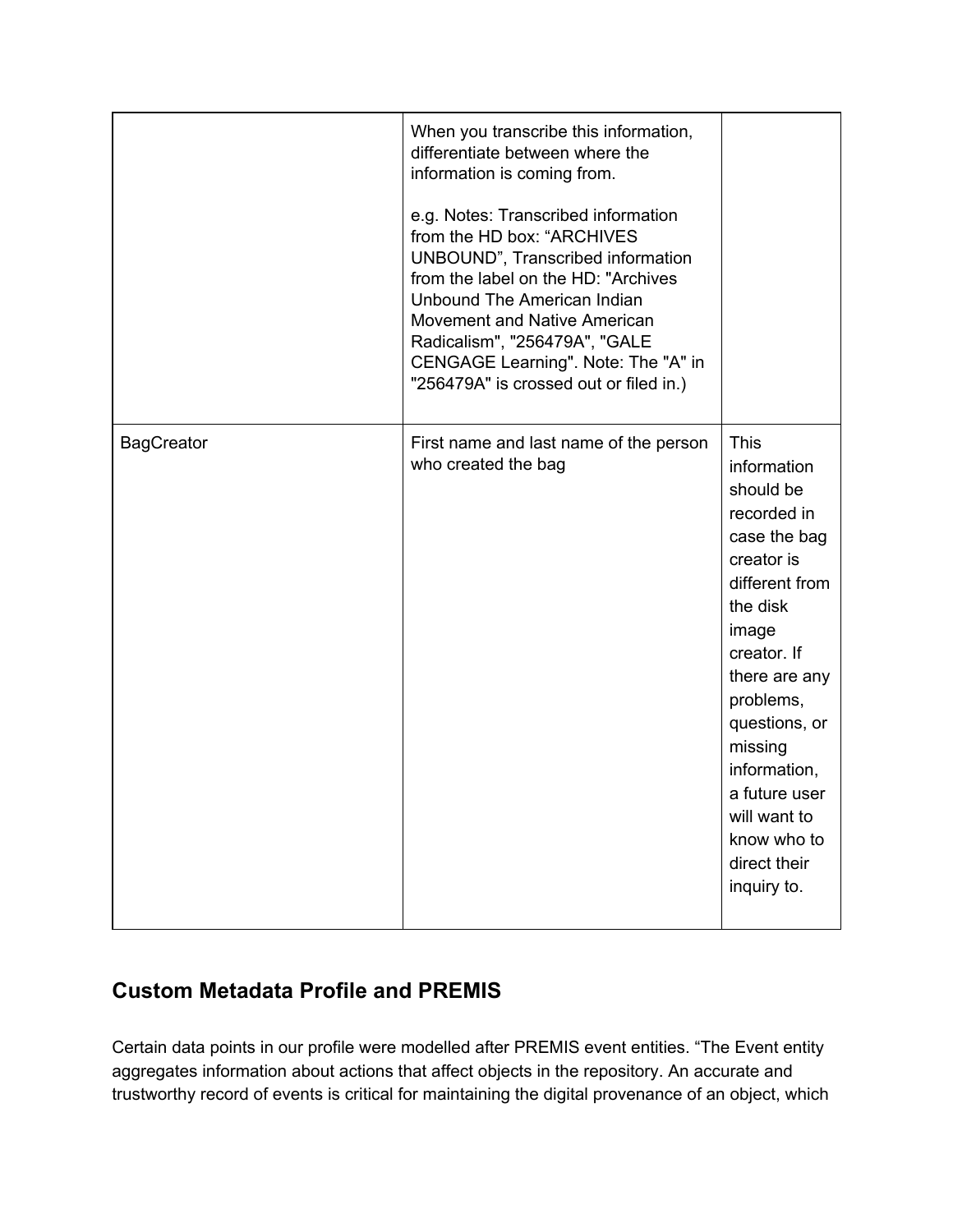|                   | When you transcribe this information,<br>differentiate between where the<br>information is coming from.<br>e.g. Notes: Transcribed information<br>from the HD box: "ARCHIVES<br>UNBOUND", Transcribed information<br>from the label on the HD: "Archives<br>Unbound The American Indian<br>Movement and Native American<br>Radicalism", "256479A", "GALE<br>CENGAGE Learning". Note: The "A" in<br>"256479A" is crossed out or filed in.) |                                                                                                                                                                                                                                                                                                     |
|-------------------|-------------------------------------------------------------------------------------------------------------------------------------------------------------------------------------------------------------------------------------------------------------------------------------------------------------------------------------------------------------------------------------------------------------------------------------------|-----------------------------------------------------------------------------------------------------------------------------------------------------------------------------------------------------------------------------------------------------------------------------------------------------|
| <b>BagCreator</b> | First name and last name of the person<br>who created the bag                                                                                                                                                                                                                                                                                                                                                                             | <b>This</b><br>information<br>should be<br>recorded in<br>case the bag<br>creator is<br>different from<br>the disk<br>image<br>creator. If<br>there are any<br>problems,<br>questions, or<br>missing<br>information,<br>a future user<br>will want to<br>know who to<br>direct their<br>inquiry to. |

## <span id="page-13-0"></span>**Custom Metadata Profile and PREMIS**

Certain data points in our profile were modelled after PREMIS event entities. "The Event entity aggregates information about actions that affect objects in the repository. An accurate and trustworthy record of events is critical for maintaining the digital provenance of an object, which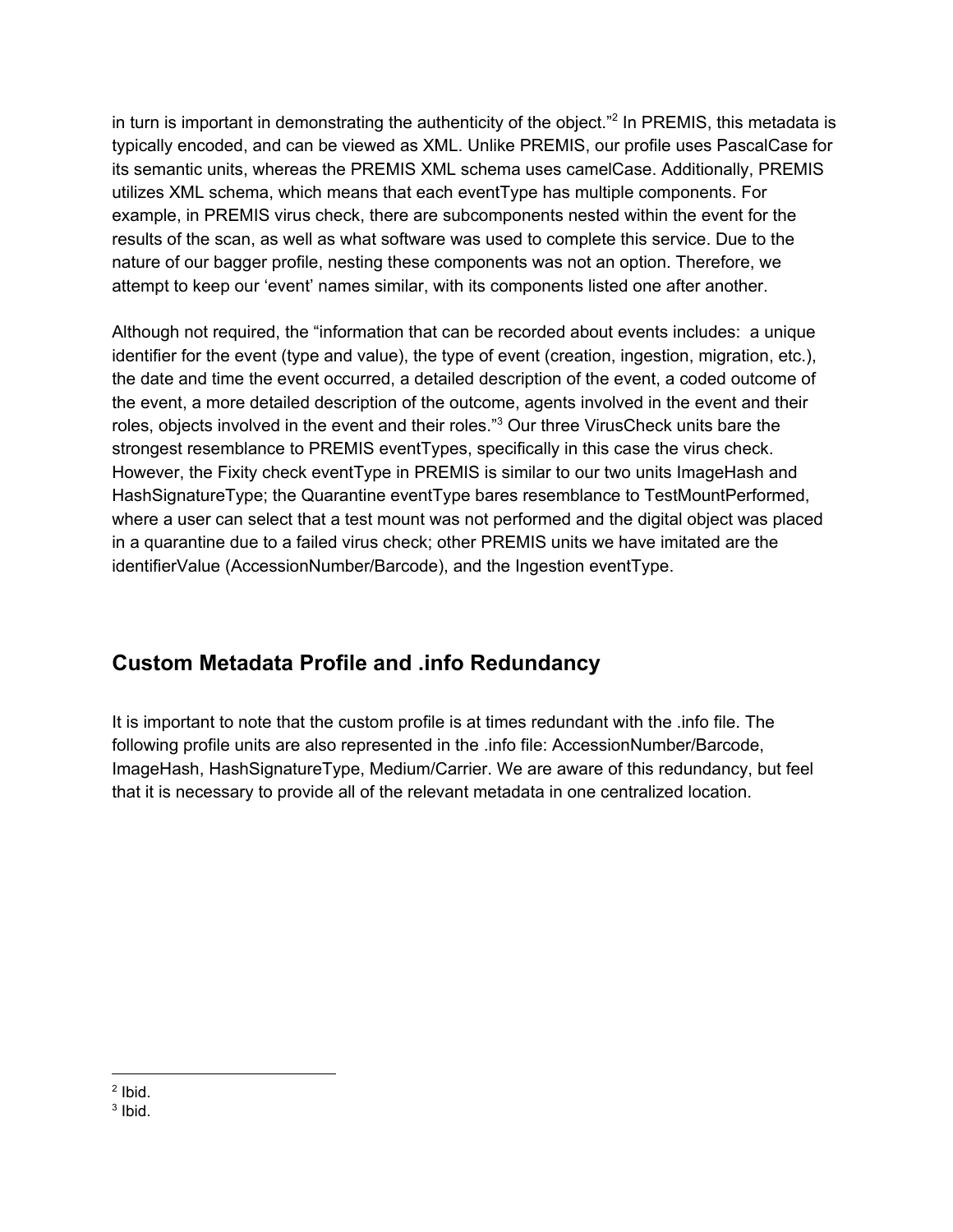in turn is important in demonstrating the authenticity of the object."<sup>2</sup> In PREMIS, this metadata is typically encoded, and can be viewed as XML. Unlike PREMIS, our profile uses PascalCase for its semantic units, whereas the PREMIS XML schema uses camelCase. Additionally, PREMIS utilizes XML schema, which means that each eventType has multiple components. For example, in PREMIS virus check, there are subcomponents nested within the event for the results of the scan, as well as what software was used to complete this service. Due to the nature of our bagger profile, nesting these components was not an option. Therefore, we attempt to keep our 'event' names similar, with its components listed one after another.

Although not required, the "information that can be recorded about events includes: a unique identifier for the event (type and value), the type of event (creation, ingestion, migration, etc.), the date and time the event occurred, a detailed description of the event, a coded outcome of the event, a more detailed description of the outcome, agents involved in the event and their roles, objects involved in the event and their roles."<sup>3</sup> Our three VirusCheck units bare the strongest resemblance to PREMIS eventTypes, specifically in this case the virus check. However, the Fixity check eventType in PREMIS is similar to our two units ImageHash and HashSignatureType; the Quarantine eventType bares resemblance to TestMountPerformed, where a user can select that a test mount was not performed and the digital object was placed in a quarantine due to a failed virus check; other PREMIS units we have imitated are the identifierValue (AccessionNumber/Barcode), and the Ingestion eventType.

## <span id="page-14-0"></span>**Custom Metadata Profile and .info Redundancy**

It is important to note that the custom profile is at times redundant with the .info file. The following profile units are also represented in the .info file: AccessionNumber/Barcode, ImageHash, HashSignatureType, Medium/Carrier. We are aware of this redundancy, but feel that it is necessary to provide all of the relevant metadata in one centralized location.

 $2$  Ibid.

<sup>&</sup>lt;sup>3</sup> Ibid.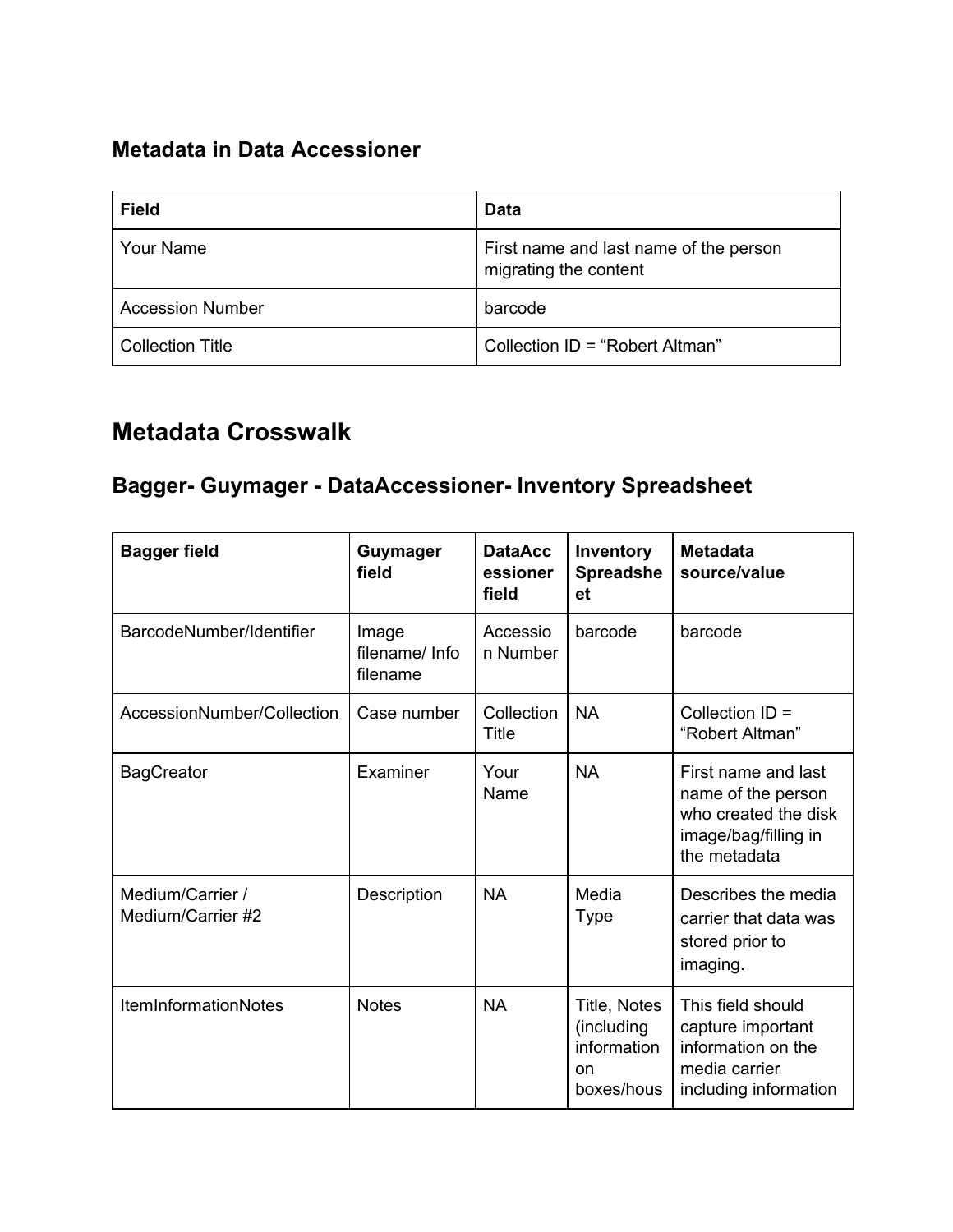## <span id="page-15-0"></span>**Metadata in Data Accessioner**

| <b>Field</b>            | <b>Data</b>                                                     |
|-------------------------|-----------------------------------------------------------------|
| <b>Your Name</b>        | First name and last name of the person<br>migrating the content |
| <b>Accession Number</b> | barcode                                                         |
| <b>Collection Title</b> | Collection ID = "Robert Altman"                                 |

## <span id="page-15-1"></span>**Metadata Crosswalk**

## <span id="page-15-2"></span>**Bagger- Guymager - DataAccessioner- Inventory Spreadsheet**

| <b>Bagger field</b>                   | <b>Guymager</b><br>field            | <b>DataAcc</b><br>essioner<br>field | Inventory<br><b>Spreadshe</b><br>et                                      | <b>Metadata</b><br>source/value                                                                           |
|---------------------------------------|-------------------------------------|-------------------------------------|--------------------------------------------------------------------------|-----------------------------------------------------------------------------------------------------------|
| BarcodeNumber/Identifier              | Image<br>filename/ Info<br>filename | Accessio<br>n Number                | barcode                                                                  | barcode                                                                                                   |
| AccessionNumber/Collection            | Case number                         | Collection<br>Title                 | <b>NA</b>                                                                | Collection $ID =$<br>"Robert Altman"                                                                      |
| <b>BagCreator</b>                     | Examiner                            | Your<br>Name                        | <b>NA</b>                                                                | First name and last<br>name of the person<br>who created the disk<br>image/bag/filling in<br>the metadata |
| Medium/Carrier /<br>Medium/Carrier #2 | Description                         | <b>NA</b>                           | Media<br><b>Type</b>                                                     | Describes the media<br>carrier that data was<br>stored prior to<br>imaging.                               |
| <b>ItemInformationNotes</b>           | <b>Notes</b>                        | <b>NA</b>                           | Title, Notes<br>(including<br>information<br><sub>on</sub><br>boxes/hous | This field should<br>capture important<br>information on the<br>media carrier<br>including information    |